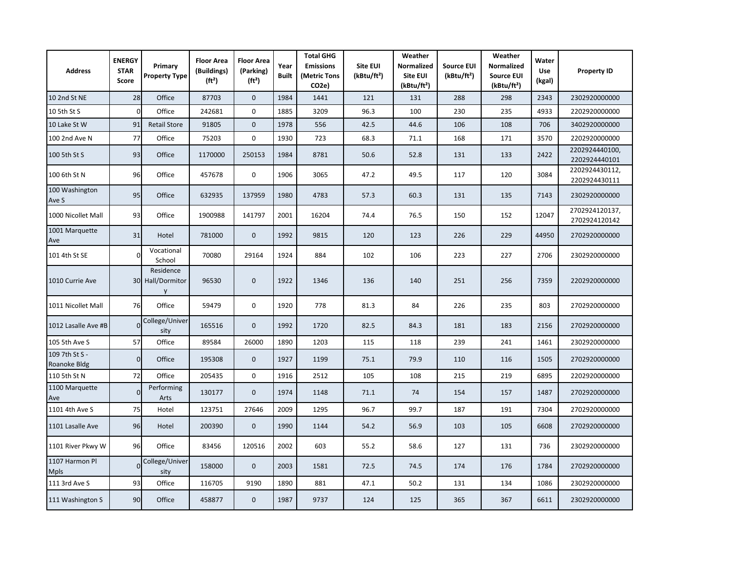| <b>Address</b>                 | <b>ENERGY</b><br><b>STAR</b><br>Score | Primary<br><b>Property Type</b>    | <b>Floor Area</b><br>(Buildings)<br>(ft <sup>2</sup> ) | <b>Floor Area</b><br>(Parking)<br>$(ft^2)$ | Year<br><b>Built</b> | <b>Total GHG</b><br><b>Emissions</b><br>(Metric Tons<br>CO <sub>2</sub> e) | <b>Site EUI</b><br>(kBtu/ft <sup>2</sup> ) | Weather<br><b>Normalized</b><br>Site EUI<br>(kBtu/ft <sup>2</sup> ) | <b>Source EUI</b><br>(kBtu/ft <sup>2</sup> ) | Weather<br><b>Normalized</b><br><b>Source EUI</b><br>(kBtu/ft <sup>2</sup> ) | Water<br><b>Use</b><br>(kgal) | <b>Property ID</b>              |
|--------------------------------|---------------------------------------|------------------------------------|--------------------------------------------------------|--------------------------------------------|----------------------|----------------------------------------------------------------------------|--------------------------------------------|---------------------------------------------------------------------|----------------------------------------------|------------------------------------------------------------------------------|-------------------------------|---------------------------------|
| 10 2nd St NE                   | 28                                    | Office                             | 87703                                                  | $\mathbf 0$                                | 1984                 | 1441                                                                       | 121                                        | 131                                                                 | 288                                          | 298                                                                          | 2343                          | 2302920000000                   |
| 10 5th St S                    | $\mathbf 0$                           | Office                             | 242681                                                 | $\mathbf 0$                                | 1885                 | 3209                                                                       | 96.3                                       | 100                                                                 | 230                                          | 235                                                                          | 4933                          | 2202920000000                   |
| 10 Lake St W                   | 91                                    | <b>Retail Store</b>                | 91805                                                  | $\mathbf 0$                                | 1978                 | 556                                                                        | 42.5                                       | 44.6                                                                | 106                                          | 108                                                                          | 706                           | 3402920000000                   |
| 100 2nd Ave N                  | 77                                    | Office                             | 75203                                                  | $\mathbf 0$                                | 1930                 | 723                                                                        | 68.3                                       | 71.1                                                                | 168                                          | 171                                                                          | 3570                          | 2202920000000                   |
| 100 5th St S                   | 93                                    | Office                             | 1170000                                                | 250153                                     | 1984                 | 8781                                                                       | 50.6                                       | 52.8                                                                | 131                                          | 133                                                                          | 2422                          | 2202924440100,<br>2202924440101 |
| 100 6th St N                   | 96                                    | Office                             | 457678                                                 | $\mathbf 0$                                | 1906                 | 3065                                                                       | 47.2                                       | 49.5                                                                | 117                                          | 120                                                                          | 3084                          | 2202924430112,<br>2202924430111 |
| 100 Washington<br>Ave S        | 95                                    | Office                             | 632935                                                 | 137959                                     | 1980                 | 4783                                                                       | 57.3                                       | 60.3                                                                | 131                                          | 135                                                                          | 7143                          | 2302920000000                   |
| 1000 Nicollet Mall             | 93                                    | Office                             | 1900988                                                | 141797                                     | 2001                 | 16204                                                                      | 74.4                                       | 76.5                                                                | 150                                          | 152                                                                          | 12047                         | 2702924120137,<br>2702924120142 |
| 1001 Marquette<br>Ave          | 31                                    | Hotel                              | 781000                                                 | $\mathbf{0}$                               | 1992                 | 9815                                                                       | 120                                        | 123                                                                 | 226                                          | 229                                                                          | 44950                         | 2702920000000                   |
| 101 4th St SE                  | $\Omega$                              | Vocational<br>School               | 70080                                                  | 29164                                      | 1924                 | 884                                                                        | 102                                        | 106                                                                 | 223                                          | 227                                                                          | 2706                          | 2302920000000                   |
| 1010 Currie Ave                |                                       | Residence<br>30 Hall/Dormitor<br>y | 96530                                                  | $\mathbf 0$                                | 1922                 | 1346                                                                       | 136                                        | 140                                                                 | 251                                          | 256                                                                          | 7359                          | 2202920000000                   |
| 1011 Nicollet Mall             | 76                                    | Office                             | 59479                                                  | $\mathbf 0$                                | 1920                 | 778                                                                        | 81.3                                       | 84                                                                  | 226                                          | 235                                                                          | 803                           | 2702920000000                   |
| 1012 Lasalle Ave #B            | $\Omega$                              | College/Univer<br>sity             | 165516                                                 | $\mathbf 0$                                | 1992                 | 1720                                                                       | 82.5                                       | 84.3                                                                | 181                                          | 183                                                                          | 2156                          | 2702920000000                   |
| 105 5th Ave S                  | 57                                    | Office                             | 89584                                                  | 26000                                      | 1890                 | 1203                                                                       | 115                                        | 118                                                                 | 239                                          | 241                                                                          | 1461                          | 2302920000000                   |
| 109 7th St S -<br>Roanoke Bldg | $\overline{0}$                        | Office                             | 195308                                                 | $\mathbf 0$                                | 1927                 | 1199                                                                       | 75.1                                       | 79.9                                                                | 110                                          | 116                                                                          | 1505                          | 2702920000000                   |
| 110 5th St N                   | 72                                    | Office                             | 205435                                                 | $\mathbf 0$                                | 1916                 | 2512                                                                       | 105                                        | 108                                                                 | 215                                          | 219                                                                          | 6895                          | 2202920000000                   |
| 1100 Marquette<br>Ave          | $\Omega$                              | Performing<br>Arts                 | 130177                                                 | $\mathbf 0$                                | 1974                 | 1148                                                                       | 71.1                                       | 74                                                                  | 154                                          | 157                                                                          | 1487                          | 2702920000000                   |
| 1101 4th Ave S                 | 75                                    | Hotel                              | 123751                                                 | 27646                                      | 2009                 | 1295                                                                       | 96.7                                       | 99.7                                                                | 187                                          | 191                                                                          | 7304                          | 2702920000000                   |
| 1101 Lasalle Ave               | 96                                    | Hotel                              | 200390                                                 | $\mathbf{0}$                               | 1990                 | 1144                                                                       | 54.2                                       | 56.9                                                                | 103                                          | 105                                                                          | 6608                          | 2702920000000                   |
| 1101 River Pkwy W              | 96                                    | Office                             | 83456                                                  | 120516                                     | 2002                 | 603                                                                        | 55.2                                       | 58.6                                                                | 127                                          | 131                                                                          | 736                           | 2302920000000                   |
| 1107 Harmon Pl<br><b>Mpls</b>  | $\Omega$                              | College/Univer<br>sity             | 158000                                                 | $\mathbf 0$                                | 2003                 | 1581                                                                       | 72.5                                       | 74.5                                                                | 174                                          | 176                                                                          | 1784                          | 2702920000000                   |
| 111 3rd Ave S                  | 93                                    | Office                             | 116705                                                 | 9190                                       | 1890                 | 881                                                                        | 47.1                                       | 50.2                                                                | 131                                          | 134                                                                          | 1086                          | 2302920000000                   |
| 111 Washington S               | 90                                    | Office                             | 458877                                                 | $\mathbf{0}$                               | 1987                 | 9737                                                                       | 124                                        | 125                                                                 | 365                                          | 367                                                                          | 6611                          | 2302920000000                   |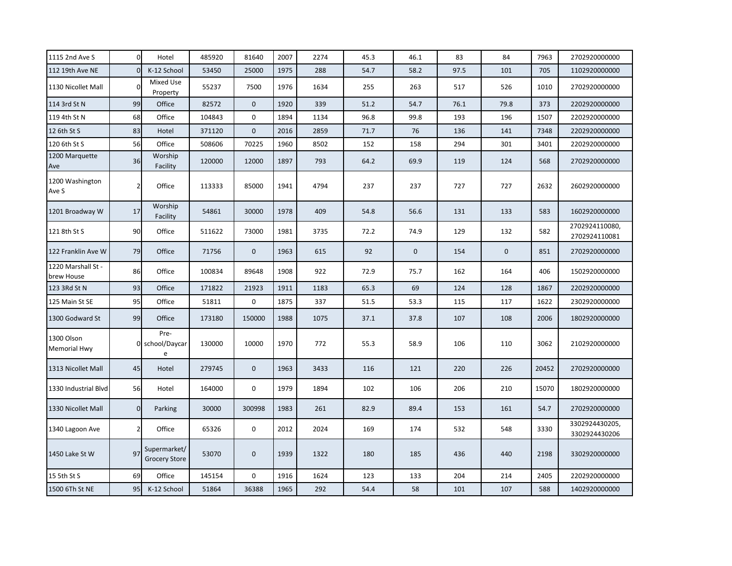| 1115 2nd Ave S                    | $\overline{0}$ | Hotel                                | 485920 | 81640        | 2007 | 2274 | 45.3 | 46.1        | 83   | 84          | 7963  | 2702920000000                   |
|-----------------------------------|----------------|--------------------------------------|--------|--------------|------|------|------|-------------|------|-------------|-------|---------------------------------|
| 112 19th Ave NE                   | $\Omega$       | K-12 School                          | 53450  | 25000        | 1975 | 288  | 54.7 | 58.2        | 97.5 | 101         | 705   | 1102920000000                   |
| 1130 Nicollet Mall                | $\Omega$       | Mixed Use<br>Property                | 55237  | 7500         | 1976 | 1634 | 255  | 263         | 517  | 526         | 1010  | 2702920000000                   |
| 114 3rd St N                      | 99             | Office                               | 82572  | $\mathbf 0$  | 1920 | 339  | 51.2 | 54.7        | 76.1 | 79.8        | 373   | 2202920000000                   |
| 119 4th St N                      | 68             | Office                               | 104843 | $\mathbf 0$  | 1894 | 1134 | 96.8 | 99.8        | 193  | 196         | 1507  | 2202920000000                   |
| 12 6th St S                       | 83             | Hotel                                | 371120 | $\mathbf 0$  | 2016 | 2859 | 71.7 | 76          | 136  | 141         | 7348  | 2202920000000                   |
| 120 6th St S                      | 56             | Office                               | 508606 | 70225        | 1960 | 8502 | 152  | 158         | 294  | 301         | 3401  | 2202920000000                   |
| 1200 Marquette<br>Ave             | 36             | Worship<br>Facility                  | 120000 | 12000        | 1897 | 793  | 64.2 | 69.9        | 119  | 124         | 568   | 2702920000000                   |
| 1200 Washington<br>Ave S          | $\overline{2}$ | Office                               | 113333 | 85000        | 1941 | 4794 | 237  | 237         | 727  | 727         | 2632  | 2602920000000                   |
| 1201 Broadway W                   | 17             | Worship<br>Facility                  | 54861  | 30000        | 1978 | 409  | 54.8 | 56.6        | 131  | 133         | 583   | 1602920000000                   |
| 121 8th St S                      | 90             | Office                               | 511622 | 73000        | 1981 | 3735 | 72.2 | 74.9        | 129  | 132         | 582   | 2702924110080,<br>2702924110081 |
| 122 Franklin Ave W                | 79             | Office                               | 71756  | $\mathbf 0$  | 1963 | 615  | 92   | $\mathbf 0$ | 154  | $\mathbf 0$ | 851   | 2702920000000                   |
| 1220 Marshall St -<br>brew House  | 86             | Office                               | 100834 | 89648        | 1908 | 922  | 72.9 | 75.7        | 162  | 164         | 406   | 1502920000000                   |
| 123 3Rd St N                      | 93             | Office                               | 171822 | 21923        | 1911 | 1183 | 65.3 | 69          | 124  | 128         | 1867  | 2202920000000                   |
| 125 Main St SE                    | 95             | Office                               | 51811  | 0            | 1875 | 337  | 51.5 | 53.3        | 115  | 117         | 1622  | 2302920000000                   |
| 1300 Godward St                   | 99             | Office                               | 173180 | 150000       | 1988 | 1075 | 37.1 | 37.8        | 107  | 108         | 2006  | 1802920000000                   |
| 1300 Olson<br><b>Memorial Hwy</b> |                | Pre-<br>0 school/Daycar<br>e         | 130000 | 10000        | 1970 | 772  | 55.3 | 58.9        | 106  | 110         | 3062  | 2102920000000                   |
| 1313 Nicollet Mall                | 45             | Hotel                                | 279745 | $\mathbf 0$  | 1963 | 3433 | 116  | 121         | 220  | 226         | 20452 | 2702920000000                   |
| 1330 Industrial Blvd              | 56             | Hotel                                | 164000 | $\mathbf{0}$ | 1979 | 1894 | 102  | 106         | 206  | 210         | 15070 | 1802920000000                   |
| 1330 Nicollet Mall                | $\overline{0}$ | Parking                              | 30000  | 300998       | 1983 | 261  | 82.9 | 89.4        | 153  | 161         | 54.7  | 2702920000000                   |
| 1340 Lagoon Ave                   | $\overline{2}$ | Office                               | 65326  | $\mathbf 0$  | 2012 | 2024 | 169  | 174         | 532  | 548         | 3330  | 3302924430205,<br>3302924430206 |
| 1450 Lake St W                    | 97             | Supermarket/<br><b>Grocery Store</b> | 53070  | $\mathbf 0$  | 1939 | 1322 | 180  | 185         | 436  | 440         | 2198  | 3302920000000                   |
| 15 5th St S                       | 69             | Office                               | 145154 | $\mathbf 0$  | 1916 | 1624 | 123  | 133         | 204  | 214         | 2405  | 2202920000000                   |
| 1500 6Th St NE                    | 95             | K-12 School                          | 51864  | 36388        | 1965 | 292  | 54.4 | 58          | 101  | 107         | 588   | 1402920000000                   |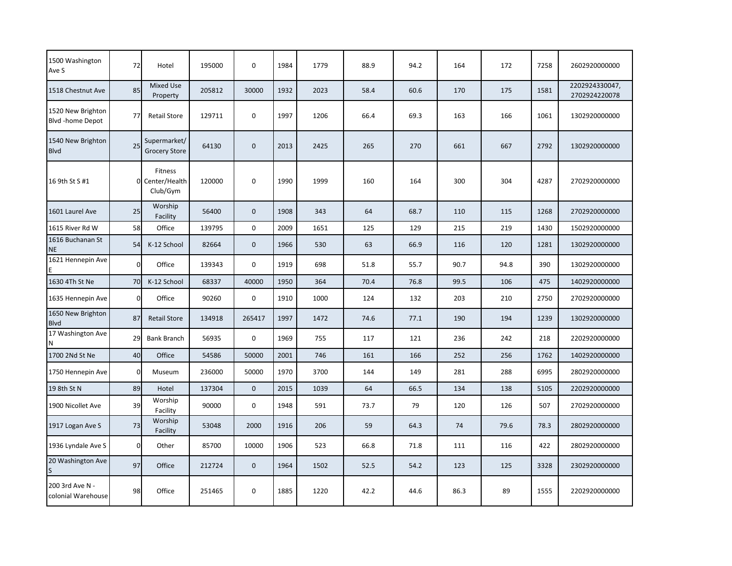| 1500 Washington<br>Ave S              | 72             | Hotel                                  | 195000 | 0           | 1984 | 1779 | 88.9 | 94.2 | 164  | 172  | 7258 | 2602920000000                   |
|---------------------------------------|----------------|----------------------------------------|--------|-------------|------|------|------|------|------|------|------|---------------------------------|
| 1518 Chestnut Ave                     | 85             | <b>Mixed Use</b><br>Property           | 205812 | 30000       | 1932 | 2023 | 58.4 | 60.6 | 170  | 175  | 1581 | 2202924330047,<br>2702924220078 |
| 1520 New Brighton<br>Blvd -home Depot | 77             | <b>Retail Store</b>                    | 129711 | $\mathbf 0$ | 1997 | 1206 | 66.4 | 69.3 | 163  | 166  | 1061 | 1302920000000                   |
| 1540 New Brighton<br><b>Blvd</b>      | 25             | Supermarket/<br><b>Grocery Store</b>   | 64130  | $\mathbf 0$ | 2013 | 2425 | 265  | 270  | 661  | 667  | 2792 | 1302920000000                   |
| 16 9th St S #1                        |                | Fitness<br>0 Center/Health<br>Club/Gym | 120000 | 0           | 1990 | 1999 | 160  | 164  | 300  | 304  | 4287 | 2702920000000                   |
| 1601 Laurel Ave                       | 25             | Worship<br>Facility                    | 56400  | $\mathbf 0$ | 1908 | 343  | 64   | 68.7 | 110  | 115  | 1268 | 2702920000000                   |
| 1615 River Rd W                       | 58             | Office                                 | 139795 | $\mathbf 0$ | 2009 | 1651 | 125  | 129  | 215  | 219  | 1430 | 1502920000000                   |
| 1616 Buchanan St<br><b>NE</b>         | 54             | K-12 School                            | 82664  | $\mathbf 0$ | 1966 | 530  | 63   | 66.9 | 116  | 120  | 1281 | 1302920000000                   |
| 1621 Hennepin Ave                     | $\Omega$       | Office                                 | 139343 | $\mathbf 0$ | 1919 | 698  | 51.8 | 55.7 | 90.7 | 94.8 | 390  | 1302920000000                   |
| 1630 4Th St Ne                        | 70             | K-12 School                            | 68337  | 40000       | 1950 | 364  | 70.4 | 76.8 | 99.5 | 106  | 475  | 1402920000000                   |
| 1635 Hennepin Ave                     | $\overline{0}$ | Office                                 | 90260  | $\mathbf 0$ | 1910 | 1000 | 124  | 132  | 203  | 210  | 2750 | 2702920000000                   |
| 1650 New Brighton<br><b>B</b> lvd     | 87             | <b>Retail Store</b>                    | 134918 | 265417      | 1997 | 1472 | 74.6 | 77.1 | 190  | 194  | 1239 | 1302920000000                   |
| 17 Washington Ave<br>N                | 29             | <b>Bank Branch</b>                     | 56935  | 0           | 1969 | 755  | 117  | 121  | 236  | 242  | 218  | 2202920000000                   |
| 1700 2Nd St Ne                        | 40             | Office                                 | 54586  | 50000       | 2001 | 746  | 161  | 166  | 252  | 256  | 1762 | 1402920000000                   |
| 1750 Hennepin Ave                     | $\overline{0}$ | Museum                                 | 236000 | 50000       | 1970 | 3700 | 144  | 149  | 281  | 288  | 6995 | 2802920000000                   |
| 19 8th St N                           | 89             | Hotel                                  | 137304 | $\mathbf 0$ | 2015 | 1039 | 64   | 66.5 | 134  | 138  | 5105 | 2202920000000                   |
| 1900 Nicollet Ave                     | 39             | Worship<br>Facility                    | 90000  | 0           | 1948 | 591  | 73.7 | 79   | 120  | 126  | 507  | 2702920000000                   |
| 1917 Logan Ave S                      | 73             | Worship<br>Facility                    | 53048  | 2000        | 1916 | 206  | 59   | 64.3 | 74   | 79.6 | 78.3 | 2802920000000                   |
| 1936 Lyndale Ave S                    | $\overline{0}$ | Other                                  | 85700  | 10000       | 1906 | 523  | 66.8 | 71.8 | 111  | 116  | 422  | 2802920000000                   |
| 20 Washington Ave                     | 97             | Office                                 | 212724 | $\mathbf 0$ | 1964 | 1502 | 52.5 | 54.2 | 123  | 125  | 3328 | 2302920000000                   |
| 200 3rd Ave N -<br>colonial Warehouse | 98             | Office                                 | 251465 | 0           | 1885 | 1220 | 42.2 | 44.6 | 86.3 | 89   | 1555 | 2202920000000                   |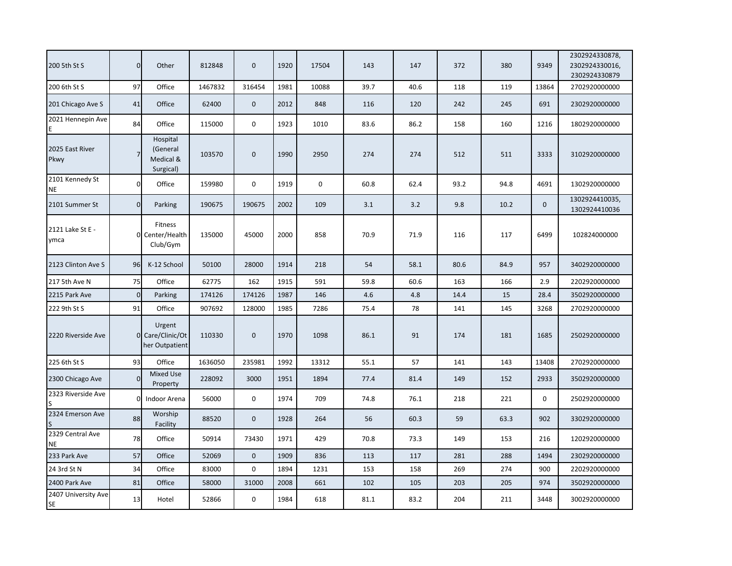| 200 5th St S                     | $\overline{0}$ | Other                                          | 812848  | 0           | 1920 | 17504 | 143  | 147  | 372  | 380  | 9349        | 2302924330878,<br>2302924330016,<br>2302924330879 |
|----------------------------------|----------------|------------------------------------------------|---------|-------------|------|-------|------|------|------|------|-------------|---------------------------------------------------|
| 200 6th St S                     | 97             | Office                                         | 1467832 | 316454      | 1981 | 10088 | 39.7 | 40.6 | 118  | 119  | 13864       | 2702920000000                                     |
| 201 Chicago Ave S                | 41             | Office                                         | 62400   | $\mathbf 0$ | 2012 | 848   | 116  | 120  | 242  | 245  | 691         | 2302920000000                                     |
| 2021 Hennepin Ave                | 84             | Office                                         | 115000  | 0           | 1923 | 1010  | 83.6 | 86.2 | 158  | 160  | 1216        | 1802920000000                                     |
| 2025 East River<br>Pkwy          |                | Hospital<br>(General<br>Medical &<br>Surgical) | 103570  | $\pmb{0}$   | 1990 | 2950  | 274  | 274  | 512  | 511  | 3333        | 3102920000000                                     |
| 2101 Kennedy St<br><b>NE</b>     | $\overline{0}$ | Office                                         | 159980  | 0           | 1919 | 0     | 60.8 | 62.4 | 93.2 | 94.8 | 4691        | 1302920000000                                     |
| 2101 Summer St                   | $\overline{0}$ | Parking                                        | 190675  | 190675      | 2002 | 109   | 3.1  | 3.2  | 9.8  | 10.2 | $\Omega$    | 1302924410035,<br>1302924410036                   |
| 2121 Lake St E -<br>ymca         |                | <b>Fitness</b><br>0 Center/Health<br>Club/Gym  | 135000  | 45000       | 2000 | 858   | 70.9 | 71.9 | 116  | 117  | 6499        | 102824000000                                      |
| 2123 Clinton Ave S               | 96             | K-12 School                                    | 50100   | 28000       | 1914 | 218   | 54   | 58.1 | 80.6 | 84.9 | 957         | 3402920000000                                     |
| 217 5th Ave N                    | 75             | Office                                         | 62775   | 162         | 1915 | 591   | 59.8 | 60.6 | 163  | 166  | 2.9         | 2202920000000                                     |
| 2215 Park Ave                    | $\overline{0}$ | Parking                                        | 174126  | 174126      | 1987 | 146   | 4.6  | 4.8  | 14.4 | 15   | 28.4        | 3502920000000                                     |
| 222 9th St S                     | 91             | Office                                         | 907692  | 128000      | 1985 | 7286  | 75.4 | 78   | 141  | 145  | 3268        | 2702920000000                                     |
| 2220 Riverside Ave               |                | Urgent<br>0 Care/Clinic/Ot<br>her Outpatient   | 110330  | $\mathbf 0$ | 1970 | 1098  | 86.1 | 91   | 174  | 181  | 1685        | 2502920000000                                     |
| 225 6th St S                     | 93             | Office                                         | 1636050 | 235981      | 1992 | 13312 | 55.1 | 57   | 141  | 143  | 13408       | 2702920000000                                     |
| 2300 Chicago Ave                 | $\Omega$       | Mixed Use<br>Property                          | 228092  | 3000        | 1951 | 1894  | 77.4 | 81.4 | 149  | 152  | 2933        | 3502920000000                                     |
| 2323 Riverside Ave               | $\Omega$       | Indoor Arena                                   | 56000   | $\mathbf 0$ | 1974 | 709   | 74.8 | 76.1 | 218  | 221  | $\mathbf 0$ | 2502920000000                                     |
| 2324 Emerson Ave                 | 88             | Worship<br>Facility                            | 88520   | $\mathbf 0$ | 1928 | 264   | 56   | 60.3 | 59   | 63.3 | 902         | 3302920000000                                     |
| 2329 Central Ave<br><b>NE</b>    | 78             | Office                                         | 50914   | 73430       | 1971 | 429   | 70.8 | 73.3 | 149  | 153  | 216         | 1202920000000                                     |
| 233 Park Ave                     | 57             | Office                                         | 52069   | $\mathbf 0$ | 1909 | 836   | 113  | 117  | 281  | 288  | 1494        | 2302920000000                                     |
| 24 3rd St N                      | 34             | Office                                         | 83000   | $\mathbf 0$ | 1894 | 1231  | 153  | 158  | 269  | 274  | 900         | 2202920000000                                     |
| 2400 Park Ave                    | 81             | Office                                         | 58000   | 31000       | 2008 | 661   | 102  | 105  | 203  | 205  | 974         | 3502920000000                                     |
| 2407 University Ave<br><b>SE</b> | 13             | Hotel                                          | 52866   | 0           | 1984 | 618   | 81.1 | 83.2 | 204  | 211  | 3448        | 3002920000000                                     |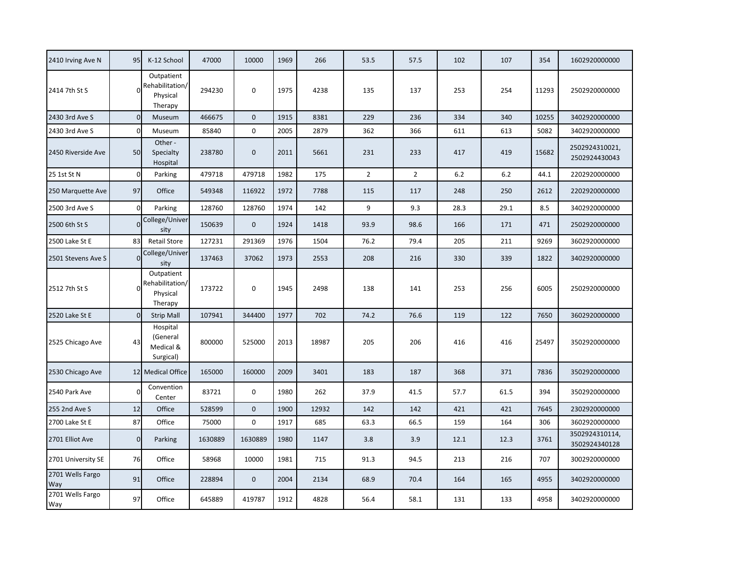| 2410 Irving Ave N       | 95             | K-12 School                                                         | 47000   | 10000       | 1969 | 266   | 53.5           | 57.5           | 102   | 107  | 354   | 1602920000000                   |
|-------------------------|----------------|---------------------------------------------------------------------|---------|-------------|------|-------|----------------|----------------|-------|------|-------|---------------------------------|
| 2414 7th St S           |                | Outpatient<br>$0$ <sup>Rehabilitation/</sup><br>Physical<br>Therapy | 294230  | 0           | 1975 | 4238  | 135            | 137            | 253   | 254  | 11293 | 2502920000000                   |
| 2430 3rd Ave S          | $\Omega$       | Museum                                                              | 466675  | $\Omega$    | 1915 | 8381  | 229            | 236            | 334   | 340  | 10255 | 3402920000000                   |
| 2430 3rd Ave S          | $\Omega$       | Museum                                                              | 85840   | $\mathbf 0$ | 2005 | 2879  | 362            | 366            | 611   | 613  | 5082  | 3402920000000                   |
| 2450 Riverside Ave      | 50             | Other -<br>Specialty<br>Hospital                                    | 238780  | $\bf{0}$    | 2011 | 5661  | 231            | 233            | 417   | 419  | 15682 | 2502924310021,<br>2502924430043 |
| 25 1st St N             | $\mathbf 0$    | Parking                                                             | 479718  | 479718      | 1982 | 175   | $\overline{2}$ | $\overline{2}$ | $6.2$ | 6.2  | 44.1  | 2202920000000                   |
| 250 Marquette Ave       | 97             | Office                                                              | 549348  | 116922      | 1972 | 7788  | 115            | 117            | 248   | 250  | 2612  | 2202920000000                   |
| 2500 3rd Ave S          | $\Omega$       | Parking                                                             | 128760  | 128760      | 1974 | 142   | 9              | 9.3            | 28.3  | 29.1 | 8.5   | 3402920000000                   |
| 2500 6th St S           |                | College/Univer<br>sity                                              | 150639  | $\mathbf 0$ | 1924 | 1418  | 93.9           | 98.6           | 166   | 171  | 471   | 2502920000000                   |
| 2500 Lake St E          | 83             | <b>Retail Store</b>                                                 | 127231  | 291369      | 1976 | 1504  | 76.2           | 79.4           | 205   | 211  | 9269  | 3602920000000                   |
| 2501 Stevens Ave S      | $\Omega$       | College/Univer<br>sity                                              | 137463  | 37062       | 1973 | 2553  | 208            | 216            | 330   | 339  | 1822  | 3402920000000                   |
| 2512 7th St S           |                | Outpatient<br>Rehabilitation/<br>Physical<br>Therapy                | 173722  | 0           | 1945 | 2498  | 138            | 141            | 253   | 256  | 6005  | 2502920000000                   |
| 2520 Lake St E          | $\overline{0}$ | <b>Strip Mall</b>                                                   | 107941  | 344400      | 1977 | 702   | 74.2           | 76.6           | 119   | 122  | 7650  | 3602920000000                   |
| 2525 Chicago Ave        | 43             | Hospital<br>(General<br>Medical &<br>Surgical)                      | 800000  | 525000      | 2013 | 18987 | 205            | 206            | 416   | 416  | 25497 | 3502920000000                   |
| 2530 Chicago Ave        |                | 12 Medical Office                                                   | 165000  | 160000      | 2009 | 3401  | 183            | 187            | 368   | 371  | 7836  | 3502920000000                   |
| 2540 Park Ave           | O              | Convention<br>Center                                                | 83721   | 0           | 1980 | 262   | 37.9           | 41.5           | 57.7  | 61.5 | 394   | 3502920000000                   |
| 255 2nd Ave S           | 12             | Office                                                              | 528599  | $\mathbf 0$ | 1900 | 12932 | 142            | 142            | 421   | 421  | 7645  | 2302920000000                   |
| 2700 Lake St E          | 87             | Office                                                              | 75000   | $\mathbf 0$ | 1917 | 685   | 63.3           | 66.5           | 159   | 164  | 306   | 3602920000000                   |
| 2701 Elliot Ave         | $\overline{0}$ | Parking                                                             | 1630889 | 1630889     | 1980 | 1147  | 3.8            | 3.9            | 12.1  | 12.3 | 3761  | 3502924310114,<br>3502924340128 |
| 2701 University SE      | 76             | Office                                                              | 58968   | 10000       | 1981 | 715   | 91.3           | 94.5           | 213   | 216  | 707   | 3002920000000                   |
| 2701 Wells Fargo<br>Way | 91             | Office                                                              | 228894  | $\mathbf 0$ | 2004 | 2134  | 68.9           | 70.4           | 164   | 165  | 4955  | 3402920000000                   |
| 2701 Wells Fargo<br>Way | 97             | Office                                                              | 645889  | 419787      | 1912 | 4828  | 56.4           | 58.1           | 131   | 133  | 4958  | 3402920000000                   |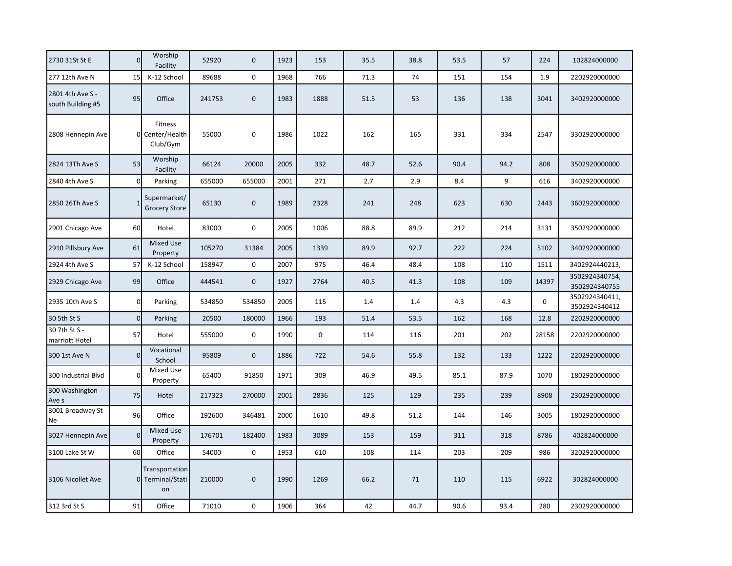| 2730 31St St E                        | $\Omega$     | Worship<br>Facility                      | 52920  | $\pmb{0}$   | 1923 | 153  | 35.5 | 38.8 | 53.5 | 57   | 224         | 102824000000                    |
|---------------------------------------|--------------|------------------------------------------|--------|-------------|------|------|------|------|------|------|-------------|---------------------------------|
| 277 12th Ave N                        | 15           | K-12 School                              | 89688  | $\pmb{0}$   | 1968 | 766  | 71.3 | 74   | 151  | 154  | 1.9         | 2202920000000                   |
| 2801 4th Ave S -<br>south Building #5 | 95           | Office                                   | 241753 | $\pmb{0}$   | 1983 | 1888 | 51.5 | 53   | 136  | 138  | 3041        | 3402920000000                   |
| 2808 Hennepin Ave                     | $\Omega$     | Fitness<br>Center/Health<br>Club/Gym     | 55000  | 0           | 1986 | 1022 | 162  | 165  | 331  | 334  | 2547        | 3302920000000                   |
| 2824 13Th Ave S                       | 53           | Worship<br>Facility                      | 66124  | 20000       | 2005 | 332  | 48.7 | 52.6 | 90.4 | 94.2 | 808         | 3502920000000                   |
| 2840 4th Ave S                        | $\Omega$     | Parking                                  | 655000 | 655000      | 2001 | 271  | 2.7  | 2.9  | 8.4  | 9    | 616         | 3402920000000                   |
| 2850 26Th Ave S                       |              | Supermarket/<br><b>Grocery Store</b>     | 65130  | $\mathbf 0$ | 1989 | 2328 | 241  | 248  | 623  | 630  | 2443        | 3602920000000                   |
| 2901 Chicago Ave                      | 60           | Hotel                                    | 83000  | $\pmb{0}$   | 2005 | 1006 | 88.8 | 89.9 | 212  | 214  | 3131        | 3502920000000                   |
| 2910 Pillsbury Ave                    | 61           | <b>Mixed Use</b><br>Property             | 105270 | 31384       | 2005 | 1339 | 89.9 | 92.7 | 222  | 224  | 5102        | 3402920000000                   |
| 2924 4th Ave S                        | 57           | K-12 School                              | 158947 | $\mathsf 0$ | 2007 | 975  | 46.4 | 48.4 | 108  | 110  | 1511        | 3402924440213,                  |
| 2929 Chicago Ave                      | 99           | Office                                   | 444541 | $\pmb{0}$   | 1927 | 2764 | 40.5 | 41.3 | 108  | 109  | 14397       | 3502924340754,<br>3502924340755 |
| 2935 10th Ave S                       | $\mathbf{0}$ | Parking                                  | 534850 | 534850      | 2005 | 115  | 1.4  | 1.4  | 4.3  | 4.3  | $\mathbf 0$ | 3502924340411,<br>3502924340412 |
| 30 5th St S                           | $\mathbf{0}$ | Parking                                  | 20500  | 180000      | 1966 | 193  | 51.4 | 53.5 | 162  | 168  | 12.8        | 2202920000000                   |
| 30 7th St S -<br>marriott Hotel       | 57           | Hotel                                    | 555000 | 0           | 1990 | 0    | 114  | 116  | 201  | 202  | 28158       | 2202920000000                   |
| 300 1st Ave N                         | $\Omega$     | Vocational<br>School                     | 95809  | $\pmb{0}$   | 1886 | 722  | 54.6 | 55.8 | 132  | 133  | 1222        | 2202920000000                   |
| 300 Industrial Blvd                   | O            | Mixed Use<br>Property                    | 65400  | 91850       | 1971 | 309  | 46.9 | 49.5 | 85.1 | 87.9 | 1070        | 1802920000000                   |
| 300 Washington<br>Ave s               | 75           | Hotel                                    | 217323 | 270000      | 2001 | 2836 | 125  | 129  | 235  | 239  | 8908        | 2302920000000                   |
| 3001 Broadway St<br>Ne                | 96           | Office                                   | 192600 | 346481      | 2000 | 1610 | 49.8 | 51.2 | 144  | 146  | 3005        | 1802920000000                   |
| 3027 Hennepin Ave                     | $\Omega$     | <b>Mixed Use</b><br>Property             | 176701 | 182400      | 1983 | 3089 | 153  | 159  | 311  | 318  | 8786        | 402824000000                    |
| 3100 Lake St W                        | 60           | Office                                   | 54000  | 0           | 1953 | 610  | 108  | 114  | 203  | 209  | 986         | 3202920000000                   |
| 3106 Nicollet Ave                     |              | Transportation<br>0 Terminal/Stati<br>on | 210000 | $\mathbf 0$ | 1990 | 1269 | 66.2 | 71   | 110  | 115  | 6922        | 302824000000                    |
| 312 3rd St S                          | 91           | Office                                   | 71010  | 0           | 1906 | 364  | 42   | 44.7 | 90.6 | 93.4 | 280         | 2302920000000                   |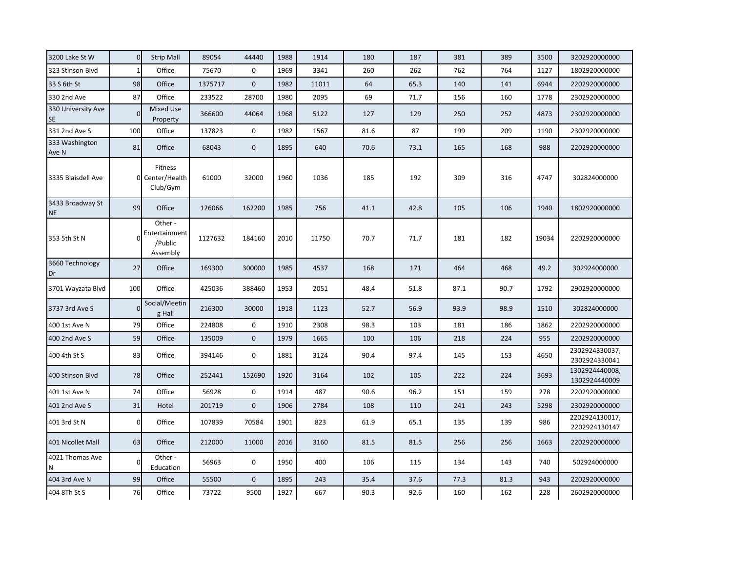| 3200 Lake St W                  | $\overline{0}$ | <b>Strip Mall</b>                               | 89054   | 44440       | 1988 | 1914  | 180  | 187  | 381  | 389  | 3500  | 3202920000000                   |
|---------------------------------|----------------|-------------------------------------------------|---------|-------------|------|-------|------|------|------|------|-------|---------------------------------|
| 323 Stinson Blvd                | $\mathbf{1}$   | Office                                          | 75670   | 0           | 1969 | 3341  | 260  | 262  | 762  | 764  | 1127  | 1802920000000                   |
| 33 S 6th St                     | 98             | Office                                          | 1375717 | $\mathbf 0$ | 1982 | 11011 | 64   | 65.3 | 140  | 141  | 6944  | 2202920000000                   |
| 330 2nd Ave                     | 87             | Office                                          | 233522  | 28700       | 1980 | 2095  | 69   | 71.7 | 156  | 160  | 1778  | 2302920000000                   |
| 330 University Ave<br><b>SE</b> | $\Omega$       | Mixed Use<br>Property                           | 366600  | 44064       | 1968 | 5122  | 127  | 129  | 250  | 252  | 4873  | 2302920000000                   |
| 331 2nd Ave S                   | 100            | Office                                          | 137823  | 0           | 1982 | 1567  | 81.6 | 87   | 199  | 209  | 1190  | 2302920000000                   |
| 333 Washington<br>Ave N         | 81             | Office                                          | 68043   | $\mathbf 0$ | 1895 | 640   | 70.6 | 73.1 | 165  | 168  | 988   | 2202920000000                   |
| 3335 Blaisdell Ave              |                | Fitness<br>0 Center/Health<br>Club/Gym          | 61000   | 32000       | 1960 | 1036  | 185  | 192  | 309  | 316  | 4747  | 302824000000                    |
| 3433 Broadway St<br><b>NE</b>   | 99             | Office                                          | 126066  | 162200      | 1985 | 756   | 41.1 | 42.8 | 105  | 106  | 1940  | 1802920000000                   |
| 353 5th St N                    |                | Other -<br>Entertainment<br>/Public<br>Assembly | 1127632 | 184160      | 2010 | 11750 | 70.7 | 71.7 | 181  | 182  | 19034 | 2202920000000                   |
| 3660 Technology<br>Dr           | 27             | Office                                          | 169300  | 300000      | 1985 | 4537  | 168  | 171  | 464  | 468  | 49.2  | 302924000000                    |
| 3701 Wayzata Blvd               | 100            | Office                                          | 425036  | 388460      | 1953 | 2051  | 48.4 | 51.8 | 87.1 | 90.7 | 1792  | 2902920000000                   |
| 3737 3rd Ave S                  | $\Omega$       | Social/Meetin<br>g Hall                         | 216300  | 30000       | 1918 | 1123  | 52.7 | 56.9 | 93.9 | 98.9 | 1510  | 302824000000                    |
| 400 1st Ave N                   | 79             | Office                                          | 224808  | $\mathbf 0$ | 1910 | 2308  | 98.3 | 103  | 181  | 186  | 1862  | 2202920000000                   |
| 400 2nd Ave S                   | 59             | Office                                          | 135009  | $\mathbf 0$ | 1979 | 1665  | 100  | 106  | 218  | 224  | 955   | 2202920000000                   |
| 400 4th St S                    | 83             | Office                                          | 394146  | $\mathbf 0$ | 1881 | 3124  | 90.4 | 97.4 | 145  | 153  | 4650  | 2302924330037,<br>2302924330041 |
| 400 Stinson Blvd                | 78             | Office                                          | 252441  | 152690      | 1920 | 3164  | 102  | 105  | 222  | 224  | 3693  | 1302924440008,<br>1302924440009 |
| 401 1st Ave N                   | 74             | Office                                          | 56928   | $\pmb{0}$   | 1914 | 487   | 90.6 | 96.2 | 151  | 159  | 278   | 2202920000000                   |
| 401 2nd Ave S                   | 31             | Hotel                                           | 201719  | $\mathbf 0$ | 1906 | 2784  | 108  | 110  | 241  | 243  | 5298  | 2302920000000                   |
| 401 3rd St N                    | $\overline{0}$ | Office                                          | 107839  | 70584       | 1901 | 823   | 61.9 | 65.1 | 135  | 139  | 986   | 2202924130017,<br>2202924130147 |
| 401 Nicollet Mall               | 63             | Office                                          | 212000  | 11000       | 2016 | 3160  | 81.5 | 81.5 | 256  | 256  | 1663  | 2202920000000                   |
| 4021 Thomas Ave<br>N            | $\mathbf 0$    | Other -<br>Education                            | 56963   | $\mathsf 0$ | 1950 | 400   | 106  | 115  | 134  | 143  | 740   | 502924000000                    |
| 404 3rd Ave N                   | 99             | Office                                          | 55500   | $\mathbf 0$ | 1895 | 243   | 35.4 | 37.6 | 77.3 | 81.3 | 943   | 2202920000000                   |
| 404 8Th St S                    | 76             | Office                                          | 73722   | 9500        | 1927 | 667   | 90.3 | 92.6 | 160  | 162  | 228   | 2602920000000                   |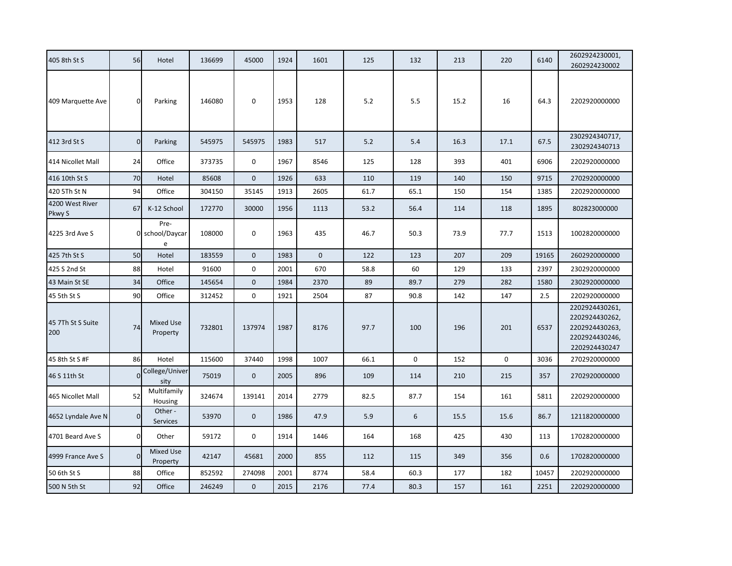| 405 8th St S              | 56             | Hotel                        | 136699 | 45000        | 1924 | 1601         | 125  | 132  | 213  | 220         | 6140  | 2602924230001,<br>2602924230002                                                       |
|---------------------------|----------------|------------------------------|--------|--------------|------|--------------|------|------|------|-------------|-------|---------------------------------------------------------------------------------------|
| 409 Marquette Ave         | $\mathbf{0}$   | Parking                      | 146080 | 0            | 1953 | 128          | 5.2  | 5.5  | 15.2 | 16          | 64.3  | 2202920000000                                                                         |
| 412 3rd St S              | $\overline{0}$ | Parking                      | 545975 | 545975       | 1983 | 517          | 5.2  | 5.4  | 16.3 | 17.1        | 67.5  | 2302924340717,<br>2302924340713                                                       |
| 414 Nicollet Mall         | 24             | Office                       | 373735 | $\mathsf 0$  | 1967 | 8546         | 125  | 128  | 393  | 401         | 6906  | 2202920000000                                                                         |
| 416 10th St S             | 70             | Hotel                        | 85608  | $\mathbf 0$  | 1926 | 633          | 110  | 119  | 140  | 150         | 9715  | 2702920000000                                                                         |
| 420 5Th St N              | 94             | Office                       | 304150 | 35145        | 1913 | 2605         | 61.7 | 65.1 | 150  | 154         | 1385  | 2202920000000                                                                         |
| 4200 West River<br>Pkwy S | 67             | K-12 School                  | 172770 | 30000        | 1956 | 1113         | 53.2 | 56.4 | 114  | 118         | 1895  | 802823000000                                                                          |
| 4225 3rd Ave S            |                | Pre-<br>0 school/Daycar<br>e | 108000 | $\mathbf 0$  | 1963 | 435          | 46.7 | 50.3 | 73.9 | 77.7        | 1513  | 1002820000000                                                                         |
| 425 7th St S              | 50             | Hotel                        | 183559 | $\mathbf 0$  | 1983 | $\mathbf{0}$ | 122  | 123  | 207  | 209         | 19165 | 2602920000000                                                                         |
| 425 S 2nd St              | 88             | Hotel                        | 91600  | $\mathsf 0$  | 2001 | 670          | 58.8 | 60   | 129  | 133         | 2397  | 2302920000000                                                                         |
| 43 Main St SE             | 34             | Office                       | 145654 | $\mathbf 0$  | 1984 | 2370         | 89   | 89.7 | 279  | 282         | 1580  | 2302920000000                                                                         |
| 45 5th St S               | 90             | Office                       | 312452 | 0            | 1921 | 2504         | 87   | 90.8 | 142  | 147         | 2.5   | 2202920000000                                                                         |
| 45 7Th St S Suite<br>200  | 74             | <b>Mixed Use</b><br>Property | 732801 | 137974       | 1987 | 8176         | 97.7 | 100  | 196  | 201         | 6537  | 2202924430261,<br>2202924430262,<br>2202924430263,<br>2202924430246,<br>2202924430247 |
| 45 8th St S #F            | 86             | Hotel                        | 115600 | 37440        | 1998 | 1007         | 66.1 | 0    | 152  | $\mathbf 0$ | 3036  | 2702920000000                                                                         |
| 46 S 11th St              | $\Omega$       | College/Univer<br>sity       | 75019  | $\mathbf{0}$ | 2005 | 896          | 109  | 114  | 210  | 215         | 357   | 2702920000000                                                                         |
| 465 Nicollet Mall         | 52             | Multifamily<br>Housing       | 324674 | 139141       | 2014 | 2779         | 82.5 | 87.7 | 154  | 161         | 5811  | 2202920000000                                                                         |
| 4652 Lyndale Ave N        | $\overline{0}$ | Other -<br>Services          | 53970  | $\mathbf 0$  | 1986 | 47.9         | 5.9  | 6    | 15.5 | 15.6        | 86.7  | 1211820000000                                                                         |
| 4701 Beard Ave S          | $\mathbf{0}$   | Other                        | 59172  | 0            | 1914 | 1446         | 164  | 168  | 425  | 430         | 113   | 1702820000000                                                                         |
| 4999 France Ave S         | $\mathbf{0}$   | Mixed Use<br>Property        | 42147  | 45681        | 2000 | 855          | 112  | 115  | 349  | 356         | 0.6   | 1702820000000                                                                         |
| 50 6th St S               | 88             | Office                       | 852592 | 274098       | 2001 | 8774         | 58.4 | 60.3 | 177  | 182         | 10457 | 2202920000000                                                                         |
| 500 N 5th St              | 92             | Office                       | 246249 | $\mathbf 0$  | 2015 | 2176         | 77.4 | 80.3 | 157  | 161         | 2251  | 2202920000000                                                                         |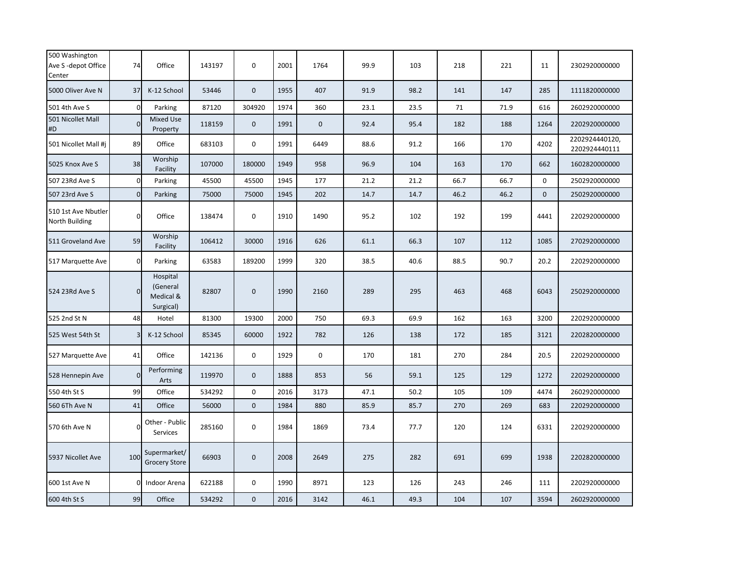| 500 Washington<br>Ave S-depot Office<br>Center | 74             | Office                                         | 143197 | $\mathbf 0$      | 2001 | 1764        | 99.9 | 103  | 218  | 221  | 11           | 2302920000000                   |
|------------------------------------------------|----------------|------------------------------------------------|--------|------------------|------|-------------|------|------|------|------|--------------|---------------------------------|
| 5000 Oliver Ave N                              | 37             | K-12 School                                    | 53446  | $\mathbf 0$      | 1955 | 407         | 91.9 | 98.2 | 141  | 147  | 285          | 1111820000000                   |
| 501 4th Ave S                                  | $\Omega$       | Parking                                        | 87120  | 304920           | 1974 | 360         | 23.1 | 23.5 | 71   | 71.9 | 616          | 2602920000000                   |
| 501 Nicollet Mall<br>#D                        | $\Omega$       | <b>Mixed Use</b><br>Property                   | 118159 | $\boldsymbol{0}$ | 1991 | $\mathbf 0$ | 92.4 | 95.4 | 182  | 188  | 1264         | 2202920000000                   |
| 501 Nicollet Mall #j                           | 89             | Office                                         | 683103 | 0                | 1991 | 6449        | 88.6 | 91.2 | 166  | 170  | 4202         | 2202924440120,<br>2202924440111 |
| 5025 Knox Ave S                                | 38             | Worship<br>Facility                            | 107000 | 180000           | 1949 | 958         | 96.9 | 104  | 163  | 170  | 662          | 1602820000000                   |
| 507 23Rd Ave S                                 | $\overline{0}$ | Parking                                        | 45500  | 45500            | 1945 | 177         | 21.2 | 21.2 | 66.7 | 66.7 | $\mathbf 0$  | 2502920000000                   |
| 507 23rd Ave S                                 | $\overline{0}$ | Parking                                        | 75000  | 75000            | 1945 | 202         | 14.7 | 14.7 | 46.2 | 46.2 | $\mathbf{0}$ | 2502920000000                   |
| 510 1st Ave Nbutler<br>North Building          | $\Omega$       | Office                                         | 138474 | $\mathbf 0$      | 1910 | 1490        | 95.2 | 102  | 192  | 199  | 4441         | 2202920000000                   |
| 511 Groveland Ave                              | 59             | Worship<br>Facility                            | 106412 | 30000            | 1916 | 626         | 61.1 | 66.3 | 107  | 112  | 1085         | 2702920000000                   |
| 517 Marquette Ave                              | $\mathbf{0}$   | Parking                                        | 63583  | 189200           | 1999 | 320         | 38.5 | 40.6 | 88.5 | 90.7 | 20.2         | 2202920000000                   |
| 524 23Rd Ave S                                 | $\Omega$       | Hospital<br>(General<br>Medical &<br>Surgical) | 82807  | $\mathbf 0$      | 1990 | 2160        | 289  | 295  | 463  | 468  | 6043         | 2502920000000                   |
| 525 2nd St N                                   | 48             | Hotel                                          | 81300  | 19300            | 2000 | 750         | 69.3 | 69.9 | 162  | 163  | 3200         | 2202920000000                   |
| 525 West 54th St                               | 3              | K-12 School                                    | 85345  | 60000            | 1922 | 782         | 126  | 138  | 172  | 185  | 3121         | 2202820000000                   |
| 527 Marquette Ave                              | 41             | Office                                         | 142136 | $\mathbf 0$      | 1929 | $\mathbf 0$ | 170  | 181  | 270  | 284  | 20.5         | 2202920000000                   |
| 528 Hennepin Ave                               | $\Omega$       | Performing<br>Arts                             | 119970 | $\boldsymbol{0}$ | 1888 | 853         | 56   | 59.1 | 125  | 129  | 1272         | 2202920000000                   |
| 550 4th St S                                   | 99             | Office                                         | 534292 | $\mathbf 0$      | 2016 | 3173        | 47.1 | 50.2 | 105  | 109  | 4474         | 2602920000000                   |
| 560 6Th Ave N                                  | 41             | Office                                         | 56000  | $\mathbf 0$      | 1984 | 880         | 85.9 | 85.7 | 270  | 269  | 683          | 2202920000000                   |
| 570 6th Ave N                                  | $\Omega$       | Other - Public<br>Services                     | 285160 | 0                | 1984 | 1869        | 73.4 | 77.7 | 120  | 124  | 6331         | 2202920000000                   |
| 5937 Nicollet Ave                              | 100            | Supermarket/<br><b>Grocery Store</b>           | 66903  | $\mathbf 0$      | 2008 | 2649        | 275  | 282  | 691  | 699  | 1938         | 2202820000000                   |
| 600 1st Ave N                                  | $\Omega$       | Indoor Arena                                   | 622188 | $\mathbf 0$      | 1990 | 8971        | 123  | 126  | 243  | 246  | 111          | 2202920000000                   |
| 600 4th St S                                   | 99             | Office                                         | 534292 | $\mathbf 0$      | 2016 | 3142        | 46.1 | 49.3 | 104  | 107  | 3594         | 2602920000000                   |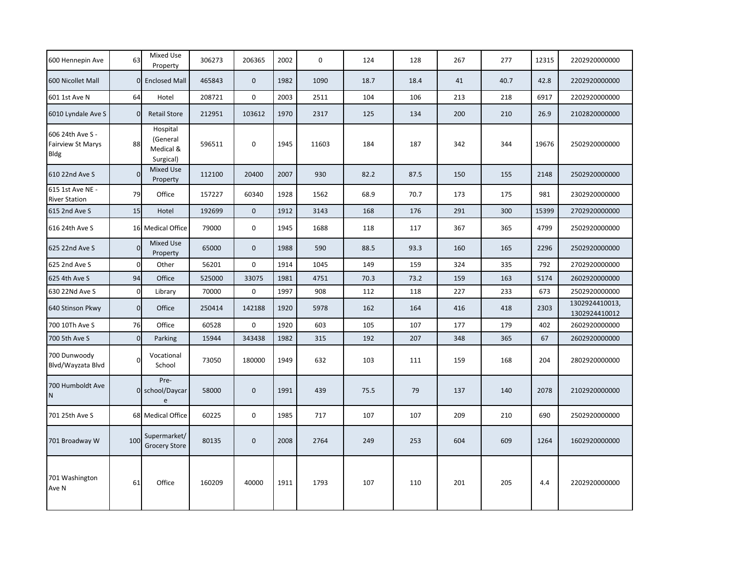| 600 Hennepin Ave                                     | 63             | Mixed Use<br>Property                          | 306273 | 206365      | 2002 | 0     | 124  | 128  | 267 | 277  | 12315 | 2202920000000                   |
|------------------------------------------------------|----------------|------------------------------------------------|--------|-------------|------|-------|------|------|-----|------|-------|---------------------------------|
| 600 Nicollet Mall                                    |                | 0 Enclosed Mall                                | 465843 | $\mathbf 0$ | 1982 | 1090  | 18.7 | 18.4 | 41  | 40.7 | 42.8  | 2202920000000                   |
| 601 1st Ave N                                        | 64             | Hotel                                          | 208721 | 0           | 2003 | 2511  | 104  | 106  | 213 | 218  | 6917  | 2202920000000                   |
| 6010 Lyndale Ave S                                   | $\Omega$       | <b>Retail Store</b>                            | 212951 | 103612      | 1970 | 2317  | 125  | 134  | 200 | 210  | 26.9  | 2102820000000                   |
| 606 24th Ave S -<br><b>Fairview St Marys</b><br>Bldg | 88             | Hospital<br>(General<br>Medical &<br>Surgical) | 596511 | $\mathbf 0$ | 1945 | 11603 | 184  | 187  | 342 | 344  | 19676 | 2502920000000                   |
| 610 22nd Ave S                                       | $\Omega$       | <b>Mixed Use</b><br>Property                   | 112100 | 20400       | 2007 | 930   | 82.2 | 87.5 | 150 | 155  | 2148  | 2502920000000                   |
| 615 1st Ave NE -<br><b>River Station</b>             | 79             | Office                                         | 157227 | 60340       | 1928 | 1562  | 68.9 | 70.7 | 173 | 175  | 981   | 2302920000000                   |
| 615 2nd Ave S                                        | 15             | Hotel                                          | 192699 | $\mathbf 0$ | 1912 | 3143  | 168  | 176  | 291 | 300  | 15399 | 2702920000000                   |
| 616 24th Ave S                                       |                | 16 Medical Office                              | 79000  | $\mathbf 0$ | 1945 | 1688  | 118  | 117  | 367 | 365  | 4799  | 2502920000000                   |
| 625 22nd Ave S                                       | $\Omega$       | <b>Mixed Use</b><br>Property                   | 65000  | $\mathbf 0$ | 1988 | 590   | 88.5 | 93.3 | 160 | 165  | 2296  | 2502920000000                   |
| 625 2nd Ave S                                        | $\mathbf 0$    | Other                                          | 56201  | $\mathbf 0$ | 1914 | 1045  | 149  | 159  | 324 | 335  | 792   | 2702920000000                   |
| 625 4th Ave S                                        | 94             | Office                                         | 525000 | 33075       | 1981 | 4751  | 70.3 | 73.2 | 159 | 163  | 5174  | 2602920000000                   |
| 630 22Nd Ave S                                       | $\overline{0}$ | Library                                        | 70000  | 0           | 1997 | 908   | 112  | 118  | 227 | 233  | 673   | 2502920000000                   |
| 640 Stinson Pkwy                                     | $\overline{0}$ | Office                                         | 250414 | 142188      | 1920 | 5978  | 162  | 164  | 416 | 418  | 2303  | 1302924410013,<br>1302924410012 |
| 700 10Th Ave S                                       | 76             | Office                                         | 60528  | 0           | 1920 | 603   | 105  | 107  | 177 | 179  | 402   | 2602920000000                   |
| 700 5th Ave S                                        | $\Omega$       | Parking                                        | 15944  | 343438      | 1982 | 315   | 192  | 207  | 348 | 365  | 67    | 2602920000000                   |
| 700 Dunwoody<br>Blvd/Wayzata Blvd                    |                | Vocational<br>School                           | 73050  | 180000      | 1949 | 632   | 103  | 111  | 159 | 168  | 204   | 2802920000000                   |
| 700 Humboldt Ave<br>N                                |                | Pre-<br>0 school/Daycar<br>e                   | 58000  | $\mathbf 0$ | 1991 | 439   | 75.5 | 79   | 137 | 140  | 2078  | 2102920000000                   |
| 701 25th Ave S                                       |                | 68 Medical Office                              | 60225  | $\mathbf 0$ | 1985 | 717   | 107  | 107  | 209 | 210  | 690   | 2502920000000                   |
| 701 Broadway W                                       | 100            | Supermarket/<br><b>Grocery Store</b>           | 80135  | $\pmb{0}$   | 2008 | 2764  | 249  | 253  | 604 | 609  | 1264  | 1602920000000                   |
| 701 Washington<br>Ave N                              | 61             | Office                                         | 160209 | 40000       | 1911 | 1793  | 107  | 110  | 201 | 205  | 4.4   | 2202920000000                   |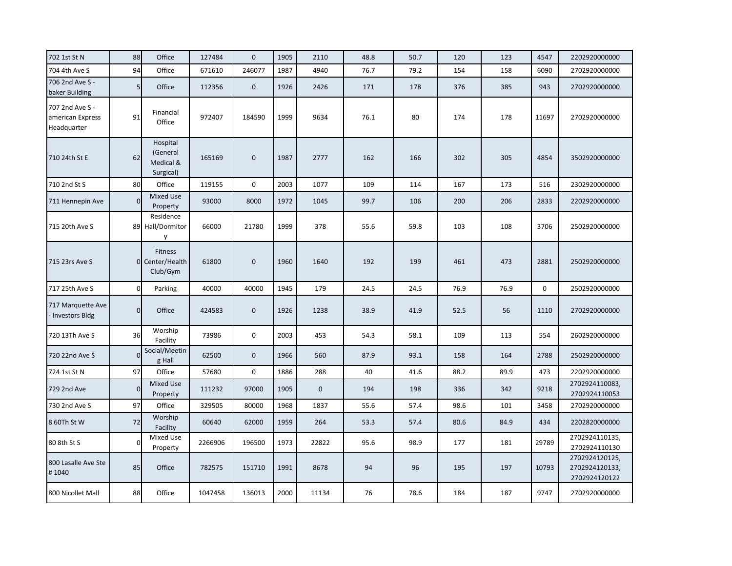| 702 1st St N                                       | 88             | Office                                         | 127484  | $\mathbf{0}$ | 1905 | 2110         | 48.8 | 50.7 | 120  | 123  | 4547        | 2202920000000                                     |
|----------------------------------------------------|----------------|------------------------------------------------|---------|--------------|------|--------------|------|------|------|------|-------------|---------------------------------------------------|
| 704 4th Ave S                                      | 94             | Office                                         | 671610  | 246077       | 1987 | 4940         | 76.7 | 79.2 | 154  | 158  | 6090        | 2702920000000                                     |
| 706 2nd Ave S -<br>baker Building                  | 5 <sup>1</sup> | Office                                         | 112356  | $\mathbf 0$  | 1926 | 2426         | 171  | 178  | 376  | 385  | 943         | 2702920000000                                     |
| 707 2nd Ave S -<br>american Express<br>Headquarter | 91             | Financial<br>Office                            | 972407  | 184590       | 1999 | 9634         | 76.1 | 80   | 174  | 178  | 11697       | 2702920000000                                     |
| 710 24th St E                                      | 62             | Hospital<br>(General<br>Medical &<br>Surgical) | 165169  | $\mathbf 0$  | 1987 | 2777         | 162  | 166  | 302  | 305  | 4854        | 3502920000000                                     |
| 710 2nd St S                                       | 80             | Office                                         | 119155  | $\mathbf 0$  | 2003 | 1077         | 109  | 114  | 167  | 173  | 516         | 2302920000000                                     |
| 711 Hennepin Ave                                   | $\Omega$       | <b>Mixed Use</b><br>Property                   | 93000   | 8000         | 1972 | 1045         | 99.7 | 106  | 200  | 206  | 2833        | 2202920000000                                     |
| 715 20th Ave S                                     |                | Residence<br>89 Hall/Dormitor<br>y             | 66000   | 21780        | 1999 | 378          | 55.6 | 59.8 | 103  | 108  | 3706        | 2502920000000                                     |
| 715 23rs Ave S                                     |                | Fitness<br>0 Center/Health<br>Club/Gym         | 61800   | $\mathbf{0}$ | 1960 | 1640         | 192  | 199  | 461  | 473  | 2881        | 2502920000000                                     |
| 717 25th Ave S                                     | $\Omega$       | Parking                                        | 40000   | 40000        | 1945 | 179          | 24.5 | 24.5 | 76.9 | 76.9 | $\mathbf 0$ | 2502920000000                                     |
| 717 Marquette Ave<br>- Investors Bldg              | $\overline{0}$ | Office                                         | 424583  | $\mathbf 0$  | 1926 | 1238         | 38.9 | 41.9 | 52.5 | 56   | 1110        | 2702920000000                                     |
| 720 13Th Ave S                                     | 36             | Worship<br>Facility                            | 73986   | 0            | 2003 | 453          | 54.3 | 58.1 | 109  | 113  | 554         | 2602920000000                                     |
| 720 22nd Ave S                                     | $\Omega$       | Social/Meetin<br>g Hall                        | 62500   | $\mathbf 0$  | 1966 | 560          | 87.9 | 93.1 | 158  | 164  | 2788        | 2502920000000                                     |
| 724 1st St N                                       | 97             | Office                                         | 57680   | $\mathbf 0$  | 1886 | 288          | 40   | 41.6 | 88.2 | 89.9 | 473         | 2202920000000                                     |
| 729 2nd Ave                                        | $\Omega$       | <b>Mixed Use</b><br>Property                   | 111232  | 97000        | 1905 | $\mathbf{0}$ | 194  | 198  | 336  | 342  | 9218        | 2702924110083,<br>2702924110053                   |
| 730 2nd Ave S                                      | 97             | Office                                         | 329505  | 80000        | 1968 | 1837         | 55.6 | 57.4 | 98.6 | 101  | 3458        | 2702920000000                                     |
| 8 60Th St W                                        | 72             | Worship<br>Facility                            | 60640   | 62000        | 1959 | 264          | 53.3 | 57.4 | 80.6 | 84.9 | 434         | 2202820000000                                     |
| 80 8th St S                                        | $\Omega$       | Mixed Use<br>Property                          | 2266906 | 196500       | 1973 | 22822        | 95.6 | 98.9 | 177  | 181  | 29789       | 2702924110135,<br>2702924110130                   |
| 800 Lasalle Ave Ste<br>#1040                       | 85             | Office                                         | 782575  | 151710       | 1991 | 8678         | 94   | 96   | 195  | 197  | 10793       | 2702924120125,<br>2702924120133,<br>2702924120122 |
| 800 Nicollet Mall                                  | 88             | Office                                         | 1047458 | 136013       | 2000 | 11134        | 76   | 78.6 | 184  | 187  | 9747        | 2702920000000                                     |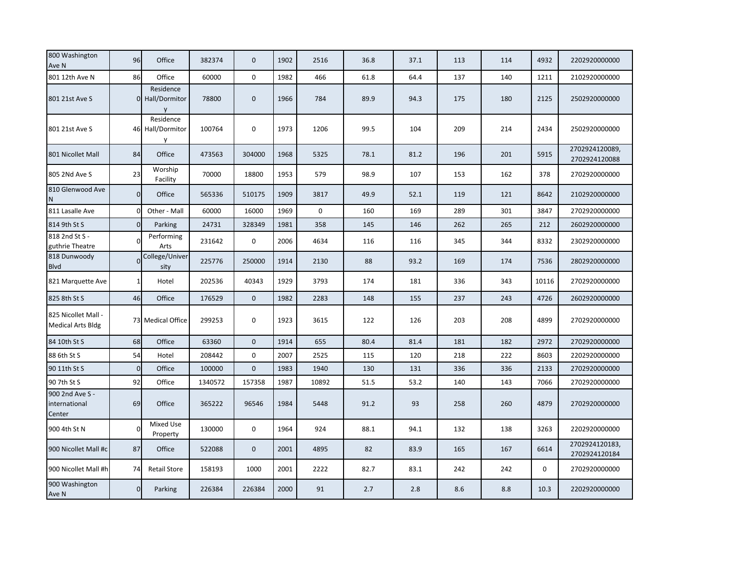| 800 Washington<br>Ave N                         | 96             | Office                             | 382374  | $\mathbf 0$      | 1902 | 2516        | 36.8 | 37.1 | 113 | 114 | 4932        | 2202920000000                   |
|-------------------------------------------------|----------------|------------------------------------|---------|------------------|------|-------------|------|------|-----|-----|-------------|---------------------------------|
| 801 12th Ave N                                  | 86             | Office                             | 60000   | $\mathbf 0$      | 1982 | 466         | 61.8 | 64.4 | 137 | 140 | 1211        | 2102920000000                   |
| 801 21st Ave S                                  |                | Residence<br>0 Hall/Dormitor       | 78800   | $\boldsymbol{0}$ | 1966 | 784         | 89.9 | 94.3 | 175 | 180 | 2125        | 2502920000000                   |
| 801 21st Ave S                                  |                | Residence<br>46 Hall/Dormitor<br>y | 100764  | 0                | 1973 | 1206        | 99.5 | 104  | 209 | 214 | 2434        | 2502920000000                   |
| 801 Nicollet Mall                               | 84             | Office                             | 473563  | 304000           | 1968 | 5325        | 78.1 | 81.2 | 196 | 201 | 5915        | 2702924120089,<br>2702924120088 |
| 805 2Nd Ave S                                   | 23             | Worship<br>Facility                | 70000   | 18800            | 1953 | 579         | 98.9 | 107  | 153 | 162 | 378         | 2702920000000                   |
| 810 Glenwood Ave<br>N                           | $\overline{0}$ | Office                             | 565336  | 510175           | 1909 | 3817        | 49.9 | 52.1 | 119 | 121 | 8642        | 2102920000000                   |
| 811 Lasalle Ave                                 | $\Omega$       | Other - Mall                       | 60000   | 16000            | 1969 | $\mathbf 0$ | 160  | 169  | 289 | 301 | 3847        | 2702920000000                   |
| 814 9th St S                                    | $\Omega$       | Parking                            | 24731   | 328349           | 1981 | 358         | 145  | 146  | 262 | 265 | 212         | 2602920000000                   |
| 818 2nd St S -<br>guthrie Theatre               | $\Omega$       | Performing<br>Arts                 | 231642  | $\mathbf 0$      | 2006 | 4634        | 116  | 116  | 345 | 344 | 8332        | 2302920000000                   |
| 818 Dunwoody<br><b>Blvd</b>                     | $\Omega$       | College/Univer<br>sity             | 225776  | 250000           | 1914 | 2130        | 88   | 93.2 | 169 | 174 | 7536        | 2802920000000                   |
| 821 Marquette Ave                               | $\mathbf{1}$   | Hotel                              | 202536  | 40343            | 1929 | 3793        | 174  | 181  | 336 | 343 | 10116       | 2702920000000                   |
| 825 8th St S                                    | 46             | Office                             | 176529  | $\boldsymbol{0}$ | 1982 | 2283        | 148  | 155  | 237 | 243 | 4726        | 2602920000000                   |
| 825 Nicollet Mall -<br><b>Medical Arts Bldg</b> |                | 73 Medical Office                  | 299253  | 0                | 1923 | 3615        | 122  | 126  | 203 | 208 | 4899        | 2702920000000                   |
| 84 10th St S                                    | 68             | Office                             | 63360   | $\mathbf 0$      | 1914 | 655         | 80.4 | 81.4 | 181 | 182 | 2972        | 2702920000000                   |
| 88 6th St S                                     | 54             | Hotel                              | 208442  | 0                | 2007 | 2525        | 115  | 120  | 218 | 222 | 8603        | 2202920000000                   |
| 90 11th St S                                    | $\overline{0}$ | Office                             | 100000  | $\overline{0}$   | 1983 | 1940        | 130  | 131  | 336 | 336 | 2133        | 2702920000000                   |
| 90 7th St S                                     | 92             | Office                             | 1340572 | 157358           | 1987 | 10892       | 51.5 | 53.2 | 140 | 143 | 7066        | 2702920000000                   |
| 900 2nd Ave S -<br>international<br>Center      | 69             | Office                             | 365222  | 96546            | 1984 | 5448        | 91.2 | 93   | 258 | 260 | 4879        | 2702920000000                   |
| 900 4th St N                                    | $\mathbf 0$    | Mixed Use<br>Property              | 130000  | 0                | 1964 | 924         | 88.1 | 94.1 | 132 | 138 | 3263        | 2202920000000                   |
| 900 Nicollet Mall #c                            | 87             | Office                             | 522088  | $\mathbf 0$      | 2001 | 4895        | 82   | 83.9 | 165 | 167 | 6614        | 2702924120183,<br>2702924120184 |
| 900 Nicollet Mall #h                            | 74             | <b>Retail Store</b>                | 158193  | 1000             | 2001 | 2222        | 82.7 | 83.1 | 242 | 242 | $\mathbf 0$ | 2702920000000                   |
| 900 Washington<br>Ave N                         | $\overline{0}$ | Parking                            | 226384  | 226384           | 2000 | 91          | 2.7  | 2.8  | 8.6 | 8.8 | 10.3        | 2202920000000                   |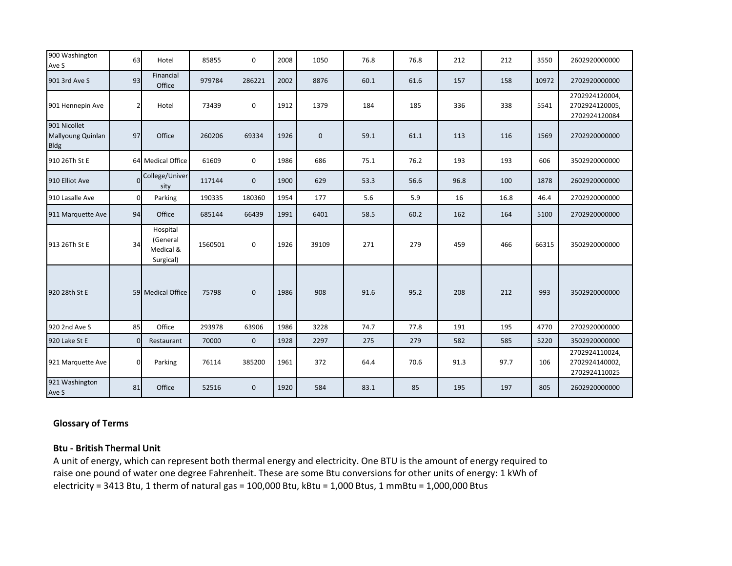| 900 Washington<br>Ave S                          | 63             | Hotel                                          | 85855   | 0           | 2008 | 1050        | 76.8 | 76.8 | 212  | 212  | 3550  | 2602920000000                                     |
|--------------------------------------------------|----------------|------------------------------------------------|---------|-------------|------|-------------|------|------|------|------|-------|---------------------------------------------------|
| 901 3rd Ave S                                    | 93             | Financial<br>Office                            | 979784  | 286221      | 2002 | 8876        | 60.1 | 61.6 | 157  | 158  | 10972 | 2702920000000                                     |
| 901 Hennepin Ave                                 | $\overline{2}$ | Hotel                                          | 73439   | 0           | 1912 | 1379        | 184  | 185  | 336  | 338  | 5541  | 2702924120004,<br>2702924120005,<br>2702924120084 |
| 901 Nicollet<br>Mallyoung Quinlan<br><b>Bldg</b> | 97             | Office                                         | 260206  | 69334       | 1926 | $\mathbf 0$ | 59.1 | 61.1 | 113  | 116  | 1569  | 2702920000000                                     |
| 910 26Th St E                                    |                | 64 Medical Office                              | 61609   | 0           | 1986 | 686         | 75.1 | 76.2 | 193  | 193  | 606   | 3502920000000                                     |
| 910 Elliot Ave                                   |                | College/Univer<br>sity                         | 117144  | $\mathbf 0$ | 1900 | 629         | 53.3 | 56.6 | 96.8 | 100  | 1878  | 2602920000000                                     |
| 910 Lasalle Ave                                  | $\overline{0}$ | Parking                                        | 190335  | 180360      | 1954 | 177         | 5.6  | 5.9  | 16   | 16.8 | 46.4  | 2702920000000                                     |
| 911 Marquette Ave                                | 94             | Office                                         | 685144  | 66439       | 1991 | 6401        | 58.5 | 60.2 | 162  | 164  | 5100  | 2702920000000                                     |
| 913 26Th St E                                    | 34             | Hospital<br>(General<br>Medical &<br>Surgical) | 1560501 | 0           | 1926 | 39109       | 271  | 279  | 459  | 466  | 66315 | 3502920000000                                     |
| 920 28th St E                                    |                | 59 Medical Office                              | 75798   | $\mathbf 0$ | 1986 | 908         | 91.6 | 95.2 | 208  | 212  | 993   | 3502920000000                                     |
| 920 2nd Ave S                                    | 85             | Office                                         | 293978  | 63906       | 1986 | 3228        | 74.7 | 77.8 | 191  | 195  | 4770  | 2702920000000                                     |
| 920 Lake St E                                    | $\Omega$       | Restaurant                                     | 70000   | $\mathbf 0$ | 1928 | 2297        | 275  | 279  | 582  | 585  | 5220  | 3502920000000                                     |
| 921 Marquette Ave                                | $\Omega$       | Parking                                        | 76114   | 385200      | 1961 | 372         | 64.4 | 70.6 | 91.3 | 97.7 | 106   | 2702924110024,<br>2702924140002,<br>2702924110025 |
| 921 Washington<br>Ave S                          | 81             | Office                                         | 52516   | $\mathbf 0$ | 1920 | 584         | 83.1 | 85   | 195  | 197  | 805   | 2602920000000                                     |

## **Glossary of Terms**

# **Btu - British Thermal Unit**

A unit of energy, which can represent both thermal energy and electricity. One BTU is the amount of energy required to raise one pound of water one degree Fahrenheit. These are some Btu conversions for other units of energy: 1 kWh of electricity = 3413 Btu, 1 therm of natural gas = 100,000 Btu, kBtu = 1,000 Btus, 1 mmBtu = 1,000,000 Btus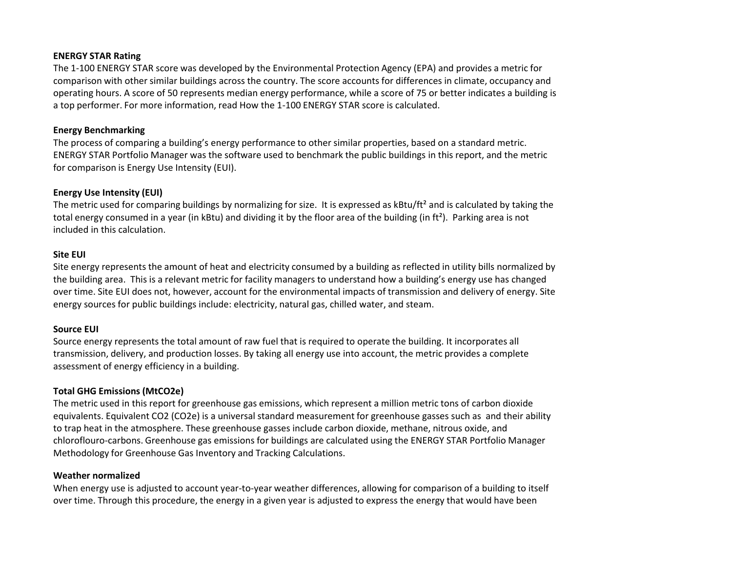## **ENERGY STAR Rating**

The 1-100 ENERGY STAR score was developed by the Environmental Protection Agency (EPA) and provides a metric for comparison with other similar buildings across the country. The score accounts for differences in climate, occupancy and operating hours. A score of 50 represents median energy performance, while a score of 75 or better indicates a building is a top performer. For more information, read How the 1-100 ENERGY STAR score is calculated.

#### **Energy Benchmarking**

The process of comparing a building's energy performance to other similar properties, based on a standard metric. ENERGY STAR Portfolio Manager was the software used to benchmark the public buildings in this report, and the metric for comparison is Energy Use Intensity (EUI).

## **Energy Use Intensity (EUI)**

The metric used for comparing buildings by normalizing for size. It is expressed as kBtu/ft<sup>2</sup> and is calculated by taking the total energy consumed in a year (in kBtu) and dividing it by the floor area of the building (in ft<sup>2</sup>). Parking area is not included in this calculation.

## **Site EUI**

Site energy represents the amount of heat and electricity consumed by a building as reflected in utility bills normalized by the building area. This is a relevant metric for facility managers to understand how a building's energy use has changed over time. Site EUI does not, however, account for the environmental impacts of transmission and delivery of energy. Site energy sources for public buildings include: electricity, natural gas, chilled water, and steam.

### **Source EUI**

Source energy represents the total amount of raw fuel that is required to operate the building. It incorporates all transmission, delivery, and production losses. By taking all energy use into account, the metric provides a complete assessment of energy efficiency in a building.

### **Total GHG Emissions (MtCO2e)**

The metric used in this report for greenhouse gas emissions, which represent a million metric tons of carbon dioxide equivalents. Equivalent CO2 (CO2e) is a universal standard measurement for greenhouse gasses such as and their ability to trap heat in the atmosphere. These greenhouse gasses include carbon dioxide, methane, nitrous oxide, and chloroflouro-carbons. Greenhouse gas emissions for buildings are calculated using the ENERGY STAR Portfolio Manager Methodology for Greenhouse Gas Inventory and Tracking Calculations.

### **Weather normalized**

When energy use is adjusted to account year-to-year weather differences, allowing for comparison of a building to itself over time. Through this procedure, the energy in a given year is adjusted to express the energy that would have been